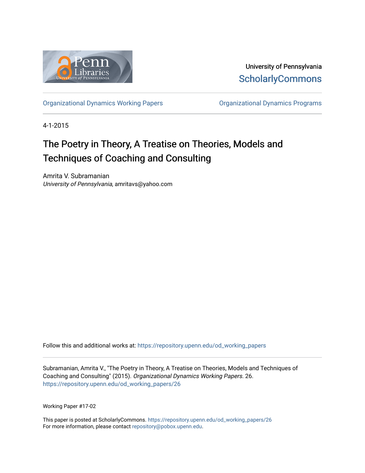

University of Pennsylvania **ScholarlyCommons** 

[Organizational Dynamics Working Papers](https://repository.upenn.edu/od_working_papers) [Organizational Dynamics Programs](https://repository.upenn.edu/organizational_dynamics) 

4-1-2015

## The Poetry in Theory, A Treatise on Theories, Models and Techniques of Coaching and Consulting

Amrita V. Subramanian University of Pennsylvania, amritavs@yahoo.com

Follow this and additional works at: [https://repository.upenn.edu/od\\_working\\_papers](https://repository.upenn.edu/od_working_papers?utm_source=repository.upenn.edu%2Fod_working_papers%2F26&utm_medium=PDF&utm_campaign=PDFCoverPages) 

Subramanian, Amrita V., "The Poetry in Theory, A Treatise on Theories, Models and Techniques of Coaching and Consulting" (2015). Organizational Dynamics Working Papers. 26. [https://repository.upenn.edu/od\\_working\\_papers/26](https://repository.upenn.edu/od_working_papers/26?utm_source=repository.upenn.edu%2Fod_working_papers%2F26&utm_medium=PDF&utm_campaign=PDFCoverPages)

Working Paper #17-02

This paper is posted at ScholarlyCommons. [https://repository.upenn.edu/od\\_working\\_papers/26](https://repository.upenn.edu/od_working_papers/26) For more information, please contact [repository@pobox.upenn.edu.](mailto:repository@pobox.upenn.edu)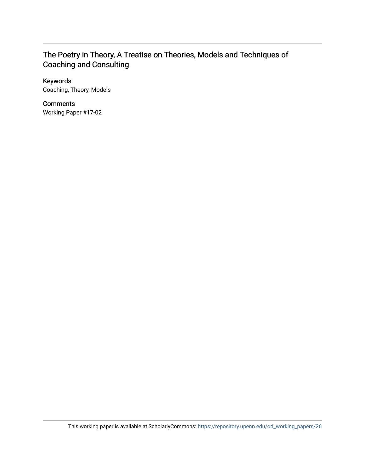### The Poetry in Theory, A Treatise on Theories, Models and Techniques of Coaching and Consulting

#### Keywords

Coaching, Theory, Models

#### **Comments**

Working Paper #17-02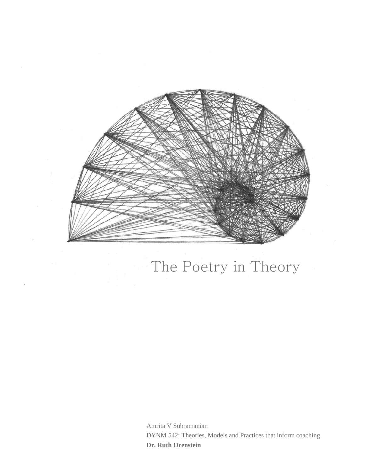

# The Poetry in Theory

Amrita V Subramanian DYNM 542: Theories, Models and Practices that inform coaching **Dr. Ruth Orenstein**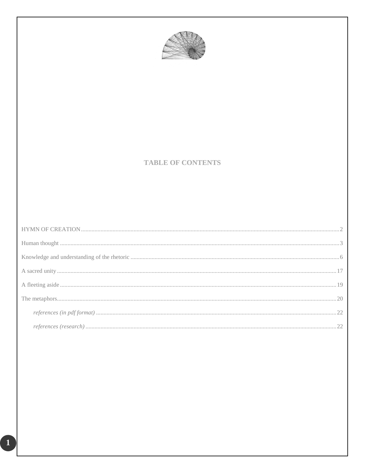

#### **TABLE OF CONTENTS**

 $\boxed{1}$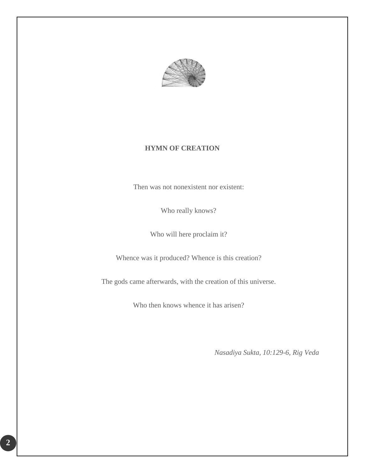

#### **HYMN OF CREATION**

<span id="page-4-0"></span>Then was not nonexistent nor existent:

Who really knows?

Who will here proclaim it?

Whence was it produced? Whence is this creation?

The gods came afterwards, with the creation of this universe.

Who then knows whence it has arisen?

*Nasadiya Sukta, 10:129-6, Rig Veda*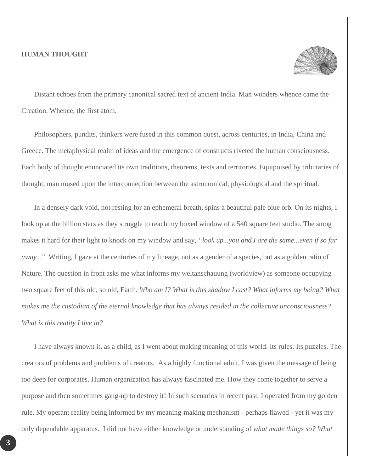#### <span id="page-5-0"></span>**HUMAN THOUGHT**



Distant echoes from the primary canonical sacred text of ancient India. Man wonders whence came the Creation. Whence, the first atom.

Philosophers, pundits, thinkers were fused in this common quest, across centuries, in India, China and Greece. The metaphysical realm of ideas and the emergence of constructs riveted the human consciousness. Each body of thought enunciated its own traditions, theorems, texts and territories. Equipoised by tributaries of thought, man mused upon the interconnection between the astronomical, physiological and the spiritual.

In a densely dark void, not resting for an ephemeral breath, spins a beautiful pale blue orb. On its nights, I look up at the billion stars as they struggle to reach my boxed window of a 540 square feet studio. The smog makes it hard for their light to knock on my window and say, *"look up...you and I are the same...even if so far away...*" Writing, I gaze at the centuries of my lineage, not as a gender of a species, but as a golden ratio of Nature. The question in front asks me what informs my weltanschauung (worldview) as someone occupying two square feet of this old, so old, Earth. *Who am I? What is this shadow I cast? What informs my being? What makes me the custodian of the eternal knowledge that has always resided in the collective unconsciousness? What is this reality I live in?* 

I have always known it, as a child, as I went about making meaning of this world. Its rules. Its puzzles. The creators of problems and problems of creators. As a highly functional adult, I was given the message of being too deep for corporates. Human organization has always fascinated me. How they come together to serve a purpose and then sometimes gang-up to destroy it! In such scenarios in recent past, I operated from my golden rule. My operant reality being informed by my meaning-making mechanism - perhaps flawed - yet it was my only dependable apparatus. I did not have either knowledge or understanding of *what made things so? What*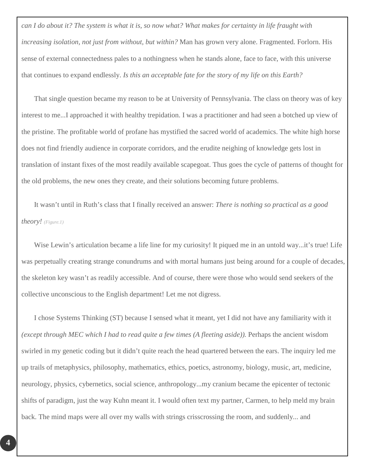*can I do about it? The system is what it is, so now what? What makes for certainty in life fraught with increasing isolation, not just from without, but within?* Man has grown very alone. Fragmented. Forlorn. His sense of external connectedness pales to a nothingness when he stands alone, face to face, with this universe that continues to expand endlessly. *Is this an acceptable fate for the story of my life on this Earth?*

That single question became my reason to be at University of Pennsylvania. The class on theory was of key interest to me...I approached it with healthy trepidation. I was a practitioner and had seen a botched up view of the pristine. The profitable world of profane has mystified the sacred world of academics. The white high horse does not find friendly audience in corporate corridors, and the erudite neighing of knowledge gets lost in translation of instant fixes of the most readily available scapegoat. Thus goes the cycle of patterns of thought for the old problems, the new ones they create, and their solutions becoming future problems.

It wasn't until in Ruth's class that I finally received an answer: *There is nothing so practical as a good theory! (Figure.1)*

Wise Lewin's articulation became a life line for my curiosity! It piqued me in an untold way...it's true! Life was perpetually creating strange conundrums and with mortal humans just being around for a couple of decades, the skeleton key wasn't as readily accessible. And of course, there were those who would send seekers of the collective unconscious to the English department! Let me not digress.

I chose Systems Thinking (ST) because I sensed what it meant, yet I did not have any familiarity with it *(except through MEC which I had to read quite a few times (A fleeting aside)).* Perhaps the ancient wisdom swirled in my genetic coding but it didn't quite reach the head quartered between the ears. The inquiry led me up trails of metaphysics, philosophy, mathematics, ethics, poetics, astronomy, biology, music, art, medicine, neurology, physics, cybernetics, social science, anthropology...my cranium became the epicenter of tectonic shifts of paradigm, just the way Kuhn meant it. I would often text my partner, Carmen, to help meld my brain back. The mind maps were all over my walls with strings crisscrossing the room, and suddenly... and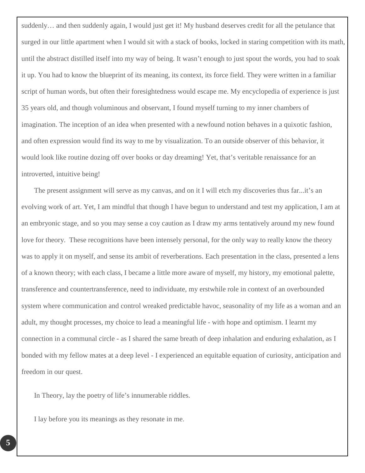suddenly… and then suddenly again, I would just get it! My husband deserves credit for all the petulance that surged in our little apartment when I would sit with a stack of books, locked in staring competition with its math, until the abstract distilled itself into my way of being. It wasn't enough to just spout the words, you had to soak it up. You had to know the blueprint of its meaning, its context, its force field. They were written in a familiar script of human words, but often their foresightedness would escape me. My encyclopedia of experience is just 35 years old, and though voluminous and observant, I found myself turning to my inner chambers of imagination. The inception of an idea when presented with a newfound notion behaves in a quixotic fashion, and often expression would find its way to me by visualization. To an outside observer of this behavior, it would look like routine dozing off over books or day dreaming! Yet, that's veritable renaissance for an introverted, intuitive being!

The present assignment will serve as my canvas, and on it I will etch my discoveries thus far...it's an evolving work of art. Yet, I am mindful that though I have begun to understand and test my application, I am at an embryonic stage, and so you may sense a coy caution as I draw my arms tentatively around my new found love for theory. These recognitions have been intensely personal, for the only way to really know the theory was to apply it on myself, and sense its ambit of reverberations. Each presentation in the class, presented a lens of a known theory; with each class, I became a little more aware of myself, my history, my emotional palette, transference and countertransference, need to individuate, my erstwhile role in context of an overbounded system where communication and control wreaked predictable havoc, seasonality of my life as a woman and an adult, my thought processes, my choice to lead a meaningful life - with hope and optimism. I learnt my connection in a communal circle - as I shared the same breath of deep inhalation and enduring exhalation, as I bonded with my fellow mates at a deep level - I experienced an equitable equation of curiosity, anticipation and freedom in our quest.

In Theory, lay the poetry of life's innumerable riddles.

I lay before you its meanings as they resonate in me.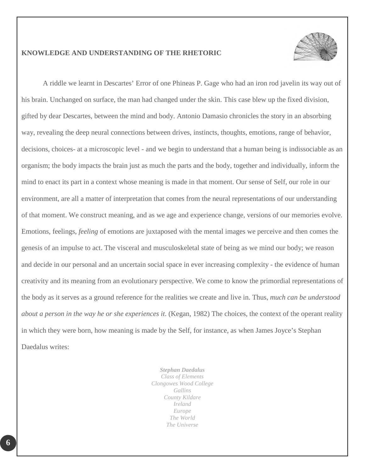

#### <span id="page-8-0"></span>**KNOWLEDGE AND UNDERSTANDING OF THE RHETORIC**

A riddle we learnt in Descartes' Error of one Phineas P. Gage who had an iron rod javelin its way out of his brain. Unchanged on surface, the man had changed under the skin. This case blew up the fixed division, gifted by dear Descartes, between the mind and body. Antonio Damasio chronicles the story in an absorbing way, revealing the deep neural connections between drives, instincts, thoughts, emotions, range of behavior, decisions, choices- at a microscopic level - and we begin to understand that a human being is indissociable as an organism; the body impacts the brain just as much the parts and the body, together and individually, inform the mind to enact its part in a context whose meaning is made in that moment. Our sense of Self, our role in our environment, are all a matter of interpretation that comes from the neural representations of our understanding of that moment. We construct meaning, and as we age and experience change, versions of our memories evolve. Emotions, feelings, *feeling* of emotions are juxtaposed with the mental images we perceive and then comes the genesis of an impulse to act. The visceral and musculoskeletal state of being as we mind our body; we reason and decide in our personal and an uncertain social space in ever increasing complexity - the evidence of human creativity and its meaning from an evolutionary perspective. We come to know the primordial representations of the body as it serves as a ground reference for the realities we create and live in. Thus, *much can be understood about a person in the way he or she experiences it*. (Kegan, 1982) The choices, the context of the operant reality in which they were born, how meaning is made by the Self, for instance, as when James Joyce's Stephan Daedalus writes:

> *Stephan Daedalus Class of Elements Clongowes Wood College Gallins County Kildare Ireland Europe The World The Universe*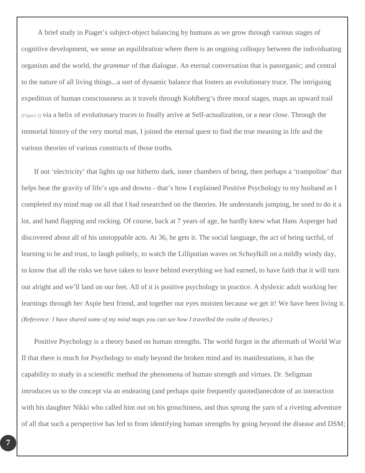A brief study in Piaget's subject-object balancing by humans as we grow through various stages of cognitive development, we sense an equilibration where there is an ongoing colloquy between the individuating organism and the world, the *grammar* of that dialogue. An eternal conversation that is panorganic; and central to the nature of all living things...a sort of dynamic balance that fosters an evolutionary truce. The intriguing expedition of human consciousness as it travels through Kohlberg's three moral stages, maps an upward trail *(Figure 2)* via a helix of evolutionary truces to finally arrive at Self-actualization, or a near close. Through the immortal history of the very mortal man, I joined the eternal quest to find the true meaning in life and the various theories of various constructs of those truths.

If not 'electricity' that lights up our hitherto dark, inner chambers of being, then perhaps a 'trampoline' that helps beat the gravity of life's ups and downs - that's how I explained Positive Psychology to my husband as I completed my mind map on all that I had researched on the theories. He understands jumping, he used to do it a lot, and hand flapping and rocking. Of course, back at 7 years of age, he hardly knew what Hans Asperger had discovered about all of his unstoppable acts. At 36, he gets it. The social language, the act of being tactful, of learning to be and trust, to laugh politely, to watch the Lilliputian waves on Schuylkill on a mildly windy day, to know that all the risks we have taken to leave behind everything we had earned, to have faith that it will turn out alright and we'll land on our feet. All of it is positive psychology in practice. A dyslexic adult working her learnings through her Aspie best friend, and together our eyes moisten because we get it! We have been living it. *(Reference: I have shared some of my mind maps you can see how I travelled the realm of theories.)*

Positive Psychology is a theory based on human strengths. The world forgot in the aftermath of World War II that there is much for Psychology to study beyond the broken mind and its manifestations, it has the capability to study in a scientific method the phenomena of human strength and virtues. Dr. Seligman introduces us to the concept via an endearing (and perhaps quite frequently quoted)anecdote of an interaction with his daughter Nikki who called him out on his grouchiness, and thus sprung the yarn of a riveting adventure of all that such a perspective has led to from identifying human strengths by going beyond the disease and DSM;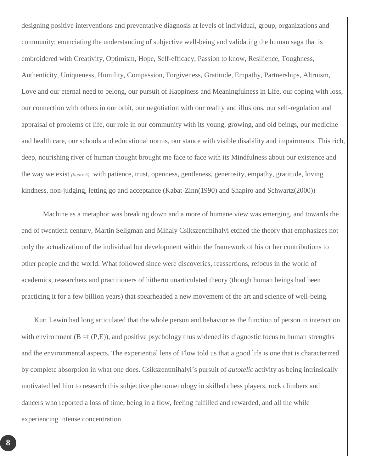designing positive interventions and preventative diagnosis at levels of individual, group, organizations and community; enunciating the understanding of subjective well-being and validating the human saga that is embroidered with Creativity, Optimism, Hope, Self-efficacy, Passion to know, Resilience, Toughness, Authenticity, Uniqueness, Humility, Compassion, Forgiveness, Gratitude, Empathy, Partnerships, Altruism, Love and our eternal need to belong, our pursuit of Happiness and Meaningfulness in Life, our coping with loss, our connection with others in our orbit, our negotiation with our reality and illusions, our self-regulation and appraisal of problems of life, our role in our community with its young, growing, and old beings, our medicine and health care, our schools and educational norms, our stance with visible disability and impairments. This rich, deep, nourishing river of human thought brought me face to face with its Mindfulness about our existence and the way we exist *(figure 3) -* with patience, trust, openness, gentleness, generosity, empathy, gratitude, loving kindness, non-judging, letting go and acceptance (Kabat-Zinn(1990) and Shapiro and Schwartz(2000))

Machine as a metaphor was breaking down and a more of humane view was emerging, and towards the end of twentieth century, Martin Seligman and Mihaly Csikszentmihalyi etched the theory that emphasizes not only the actualization of the individual but development within the framework of his or her contributions to other people and the world. What followed since were discoveries, reassertions, refocus in the world of academics, researchers and practitioners of hitherto unarticulated theory (though human beings had been practicing it for a few billion years) that spearheaded a new movement of the art and science of well-being.

Kurt Lewin had long articulated that the whole person and behavior as the function of person in interaction with environment  $(B = f(P, E))$ , and positive psychology thus widened its diagnostic focus to human strengths and the environmental aspects. The experiential lens of Flow told us that a good life is one that is characterized by complete absorption in what one does. Csikszentmihalyi's pursuit of *autotelic* activity as being intrinsically motivated led him to research this subjective phenomenology in skilled chess players, rock climbers and dancers who reported a loss of time, being in a flow, feeling fulfilled and rewarded, and all the while experiencing intense concentration.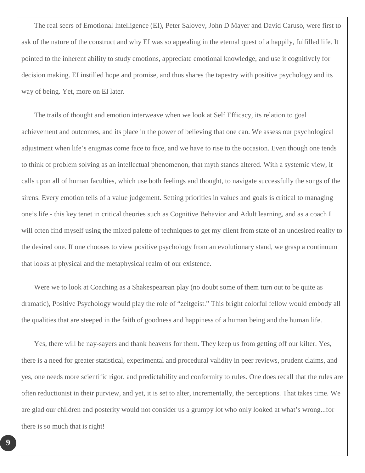The real seers of Emotional Intelligence (EI), Peter Salovey, John D Mayer and David Caruso, were first to ask of the nature of the construct and why EI was so appealing in the eternal quest of a happily, fulfilled life. It pointed to the inherent ability to study emotions, appreciate emotional knowledge, and use it cognitively for decision making. EI instilled hope and promise, and thus shares the tapestry with positive psychology and its way of being. Yet, more on EI later.

The trails of thought and emotion interweave when we look at Self Efficacy, its relation to goal achievement and outcomes, and its place in the power of believing that one can. We assess our psychological adjustment when life's enigmas come face to face, and we have to rise to the occasion. Even though one tends to think of problem solving as an intellectual phenomenon, that myth stands altered. With a systemic view, it calls upon all of human faculties, which use both feelings and thought, to navigate successfully the songs of the sirens. Every emotion tells of a value judgement. Setting priorities in values and goals is critical to managing one's life - this key tenet in critical theories such as Cognitive Behavior and Adult learning, and as a coach I will often find myself using the mixed palette of techniques to get my client from state of an undesired reality to the desired one. If one chooses to view positive psychology from an evolutionary stand, we grasp a continuum that looks at physical and the metaphysical realm of our existence.

Were we to look at Coaching as a Shakespearean play (no doubt some of them turn out to be quite as dramatic), Positive Psychology would play the role of "zeitgeist." This bright colorful fellow would embody all the qualities that are steeped in the faith of goodness and happiness of a human being and the human life.

Yes, there will be nay-sayers and thank heavens for them. They keep us from getting off our kilter. Yes, there is a need for greater statistical, experimental and procedural validity in peer reviews, prudent claims, and yes, one needs more scientific rigor, and predictability and conformity to rules. One does recall that the rules are often reductionist in their purview, and yet, it is set to alter, incrementally, the perceptions. That takes time. We are glad our children and posterity would not consider us a grumpy lot who only looked at what's wrong...for there is so much that is right!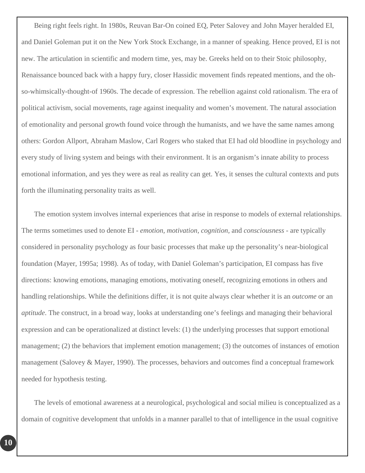Being right feels right. In 1980s, Reuvan Bar-On coined EQ, Peter Salovey and John Mayer heralded EI, and Daniel Goleman put it on the New York Stock Exchange, in a manner of speaking. Hence proved, EI is not new. The articulation in scientific and modern time, yes, may be. Greeks held on to their Stoic philosophy, Renaissance bounced back with a happy fury, closer Hassidic movement finds repeated mentions, and the ohso-whimsically-thought-of 1960s. The decade of expression. The rebellion against cold rationalism. The era of political activism, social movements, rage against inequality and women's movement. The natural association of emotionality and personal growth found voice through the humanists, and we have the same names among others: Gordon Allport, Abraham Maslow, Carl Rogers who staked that EI had old bloodline in psychology and every study of living system and beings with their environment. It is an organism's innate ability to process emotional information, and yes they were as real as reality can get. Yes, it senses the cultural contexts and puts forth the illuminating personality traits as well.

The emotion system involves internal experiences that arise in response to models of external relationships. The terms sometimes used to denote EI - *emotion, motivation, cognition,* and *consciousness* - are typically considered in personality psychology as four basic processes that make up the personality's near-biological foundation (Mayer, 1995a; 1998). As of today, with Daniel Goleman's participation, EI compass has five directions: knowing emotions, managing emotions, motivating oneself, recognizing emotions in others and handling relationships. While the definitions differ, it is not quite always clear whether it is an *outcome* or an *aptitude*. The construct, in a broad way, looks at understanding one's feelings and managing their behavioral expression and can be operationalized at distinct levels: (1) the underlying processes that support emotional management; (2) the behaviors that implement emotion management; (3) the outcomes of instances of emotion management (Salovey & Mayer, 1990). The processes, behaviors and outcomes find a conceptual framework needed for hypothesis testing.

The levels of emotional awareness at a neurological, psychological and social milieu is conceptualized as a domain of cognitive development that unfolds in a manner parallel to that of intelligence in the usual cognitive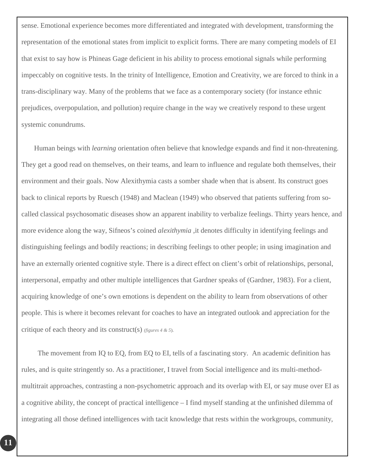sense. Emotional experience becomes more differentiated and integrated with development, transforming the representation of the emotional states from implicit to explicit forms. There are many competing models of EI that exist to say how is Phineas Gage deficient in his ability to process emotional signals while performing impeccably on cognitive tests. In the trinity of Intelligence, Emotion and Creativity, we are forced to think in a trans-disciplinary way. Many of the problems that we face as a contemporary society (for instance ethnic prejudices, overpopulation, and pollution) require change in the way we creatively respond to these urgent systemic conundrums.

Human beings with *learning* orientation often believe that knowledge expands and find it non-threatening. They get a good read on themselves, on their teams, and learn to influence and regulate both themselves, their environment and their goals. Now Alexithymia casts a somber shade when that is absent. Its construct goes back to clinical reports by Ruesch (1948) and Maclean (1949) who observed that patients suffering from socalled classical psychosomatic diseases show an apparent inability to verbalize feelings. Thirty years hence, and more evidence along the way, Sifneos's coined *alexithymia* ,it denotes difficulty in identifying feelings and distinguishing feelings and bodily reactions; in describing feelings to other people; in using imagination and have an externally oriented cognitive style. There is a direct effect on client's orbit of relationships, personal, interpersonal, empathy and other multiple intelligences that Gardner speaks of (Gardner, 1983). For a client, acquiring knowledge of one's own emotions is dependent on the ability to learn from observations of other people. This is where it becomes relevant for coaches to have an integrated outlook and appreciation for the critique of each theory and its construct(s) *(figures 4 & 5*).

 The movement from IQ to EQ, from EQ to EI, tells of a fascinating story. An academic definition has rules, and is quite stringently so. As a practitioner, I travel from Social intelligence and its multi-methodmultitrait approaches, contrasting a non-psychometric approach and its overlap with EI, or say muse over EI as a cognitive ability, the concept of practical intelligence – I find myself standing at the unfinished dilemma of integrating all those defined intelligences with tacit knowledge that rests within the workgroups, community,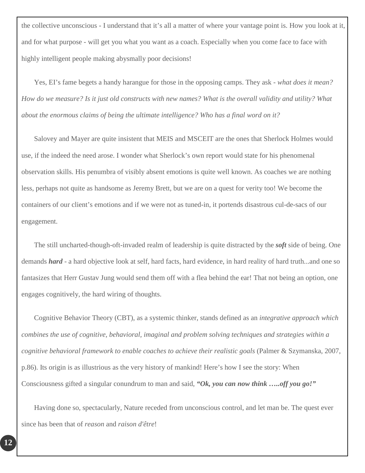the collective unconscious - I understand that it's all a matter of where your vantage point is. How you look at it, and for what purpose - will get you what you want as a coach. Especially when you come face to face with highly intelligent people making abysmally poor decisions!

Yes, EI's fame begets a handy harangue for those in the opposing camps. They ask - *what does it mean? How do we measure? Is it just old constructs with new names? What is the overall validity and utility? What about the enormous claims of being the ultimate intelligence? Who has a final word on it?* 

Salovey and Mayer are quite insistent that MEIS and MSCEIT are the ones that Sherlock Holmes would use, if the indeed the need arose. I wonder what Sherlock's own report would state for his phenomenal observation skills. His penumbra of visibly absent emotions is quite well known. As coaches we are nothing less, perhaps not quite as handsome as Jeremy Brett, but we are on a quest for verity too! We become the containers of our client's emotions and if we were not as tuned-in, it portends disastrous cul-de-sacs of our engagement.

The still uncharted-though-oft-invaded realm of leadership is quite distracted by the *soft* side of being. One demands *hard* - a hard objective look at self, hard facts, hard evidence, in hard reality of hard truth...and one so fantasizes that Herr Gustav Jung would send them off with a flea behind the ear! That not being an option, one engages cognitively, the hard wiring of thoughts.

Cognitive Behavior Theory (CBT), as a systemic thinker, stands defined as an *integrative approach which combines the use of cognitive, behavioral, imaginal and problem solving techniques and strategies within a cognitive behavioral framework to enable coaches to achieve their realistic goals* (Palmer & Szymanska, 2007, p.86). Its origin is as illustrious as the very history of mankind! Here's how I see the story: When Consciousness gifted a singular conundrum to man and said, *"Ok, you can now think …..off you go!"*

Having done so, spectacularly, Nature receded from unconscious control, and let man be. The quest ever since has been that of *reason* and *raison d'être*!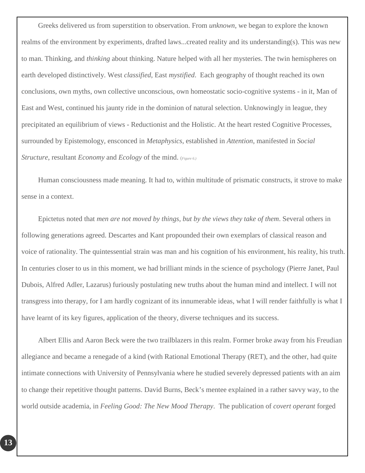Greeks delivered us from superstition to observation. From *unknown*, we began to explore the known realms of the environment by experiments, drafted laws...created reality and its understanding(s). This was new to man. Thinking, and *thinking* about thinking. Nature helped with all her mysteries. The twin hemispheres on earth developed distinctively. West *classified*, East *mystified*. Each geography of thought reached its own conclusions, own myths, own collective unconscious, own homeostatic socio-cognitive systems - in it, Man of East and West, continued his jaunty ride in the dominion of natural selection. Unknowingly in league, they precipitated an equilibrium of views - Reductionist and the Holistic. At the heart rested Cognitive Processes, surrounded by Epistemology, ensconced in *Metaphysics*, established in *Attention*, manifested in *Social Structure*, resultant *Economy* and *Ecology* of the mind. (*Figure 6.)*

Human consciousness made meaning. It had to, within multitude of prismatic constructs, it strove to make sense in a context.

Epictetus noted that *men are not moved by things, but by the views they take of them*. Several others in following generations agreed. Descartes and Kant propounded their own exemplars of classical reason and voice of rationality. The quintessential strain was man and his cognition of his environment, his reality, his truth. In centuries closer to us in this moment, we had brilliant minds in the science of psychology (Pierre Janet, Paul Dubois, Alfred Adler, Lazarus) furiously postulating new truths about the human mind and intellect. I will not transgress into therapy, for I am hardly cognizant of its innumerable ideas, what I will render faithfully is what I have learnt of its key figures, application of the theory, diverse techniques and its success.

Albert Ellis and Aaron Beck were the two trailblazers in this realm. Former broke away from his Freudian allegiance and became a renegade of a kind (with Rational Emotional Therapy (RET), and the other, had quite intimate connections with University of Pennsylvania where he studied severely depressed patients with an aim to change their repetitive thought patterns. David Burns, Beck's mentee explained in a rather savvy way, to the world outside academia, in *Feeling Good: The New Mood Therapy*. The publication of *covert operant* forged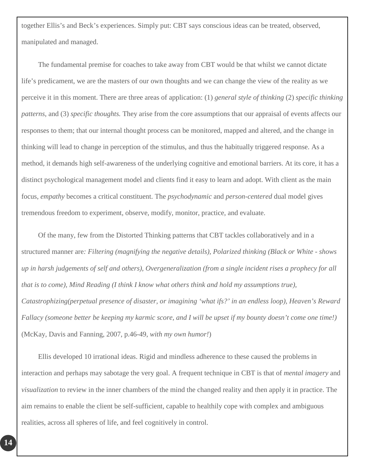together Ellis's and Beck's experiences. Simply put: CBT says conscious ideas can be treated, observed, manipulated and managed.

The fundamental premise for coaches to take away from CBT would be that whilst we cannot dictate life's predicament, we are the masters of our own thoughts and we can change the view of the reality as we perceive it in this moment. There are three areas of application: (1) *general style of thinking* (2) *specific thinking patterns*, and (3) *specific thoughts.* They arise from the core assumptions that our appraisal of events affects our responses to them; that our internal thought process can be monitored, mapped and altered, and the change in thinking will lead to change in perception of the stimulus, and thus the habitually triggered response. As a method, it demands high self-awareness of the underlying cognitive and emotional barriers. At its core, it has a distinct psychological management model and clients find it easy to learn and adopt. With client as the main focus, *empathy* becomes a critical constituent. The *psychodynamic* and *person-centered* dual model gives tremendous freedom to experiment, observe, modify, monitor, practice, and evaluate.

Of the many, few from the Distorted Thinking patterns that CBT tackles collaboratively and in a structured manner are*: Filtering (magnifying the negative details), Polarized thinking (Black or White - shows up in harsh judgements of self and others), Overgeneralization (from a single incident rises a prophecy for all that is to come), Mind Reading (I think I know what others think and hold my assumptions true), Catastrophizing(perpetual presence of disaster, or imagining 'what ifs?' in an endless loop), Heaven's Reward Fallacy (someone better be keeping my karmic score, and I will be upset if my bounty doesn't come one time!)* (McKay, Davis and Fanning, 2007, p.46-49, *with my own humor!*)

Ellis developed 10 irrational ideas. Rigid and mindless adherence to these caused the problems in interaction and perhaps may sabotage the very goal. A frequent technique in CBT is that of *mental imagery* and *visualization* to review in the inner chambers of the mind the changed reality and then apply it in practice. The aim remains to enable the client be self-sufficient, capable to healthily cope with complex and ambiguous realities, across all spheres of life, and feel cognitively in control.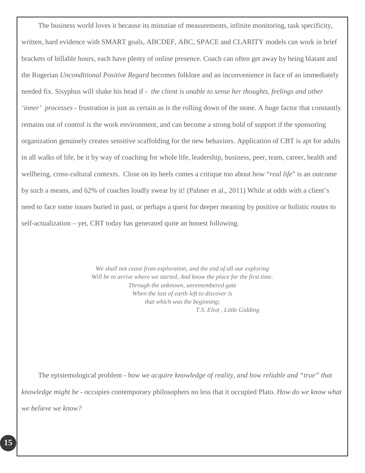The business world loves it because its minutiae of measurements, infinite monitoring, task specificity, written, hard evidence with SMART goals, ABCDEF, ABC, SPACE and CLARITY models can work in brief brackets of billable hours, each have plenty of online presence. Coach can often get away by being blatant and the Rogerian *Unconditional Positive Regard* becomes folklore and an inconvenience in face of an immediately needed fix. Sisyphus will shake his head if - *the client is unable to sense her thoughts, feelings and other 'inner' processes* - frustration is just as certain as is the rolling down of the stone. A huge factor that constantly remains out of control is the work environment, and can become a strong hold of support if the sponsoring organization genuinely creates sensitive scaffolding for the new behaviors. Application of CBT is apt for adults in all walks of life, be it by way of coaching for whole life, leadership, business, peer, team, career, health and wellbeing, cross-cultural contexts. Close on its heels comes a critique too about how "*real life*" is an outcome by such a means, and 62% of coaches loudly swear by it! (Palmer et al., 2011) While at odds with a client's need to face some issues buried in past, or perhaps a quest for deeper meaning by positive or holistic routes to self-actualization – yet, CBT today has generated quite an honest following.

> *We shall not cease from exploration, and the end of all our exploring Will be to arrive where we started, And know the place for the first time. Through the unknown, unremembered gate When the last of earth left to discover is that which was the beginning*;  *T.S. Eliot , Little Gidding*

The epistemological problem - *how we acquire knowledge of reality, and how reliable and "true" that knowledge might be* - occupies contemporary philosophers no less that it occupied Plato. *How do we know what we believe we know?*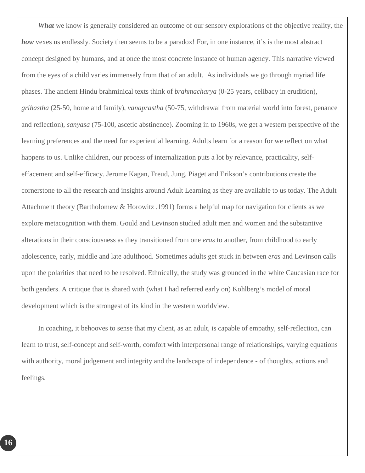*What* we know is generally considered an outcome of our sensory explorations of the objective reality, the *how* vexes us endlessly. Society then seems to be a paradox! For, in one instance, it's is the most abstract concept designed by humans, and at once the most concrete instance of human agency. This narrative viewed from the eyes of a child varies immensely from that of an adult. As individuals we go through myriad life phases. The ancient Hindu brahminical texts think of *brahmacharya* (0-25 years, celibacy in erudition), *grihastha* (25-50, home and family), *vanaprastha* (50-75, withdrawal from material world into forest, penance and reflection), *sanyasa* (75-100, ascetic abstinence). Zooming in to 1960s, we get a western perspective of the learning preferences and the need for experiential learning. Adults learn for a reason for we reflect on what happens to us. Unlike children, our process of internalization puts a lot by relevance, practicality, selfeffacement and self-efficacy. Jerome Kagan, Freud, Jung, Piaget and Erikson's contributions create the cornerstone to all the research and insights around Adult Learning as they are available to us today. The Adult Attachment theory (Bartholomew & Horowitz ,1991) forms a helpful map for navigation for clients as we explore metacognition with them. Gould and Levinson studied adult men and women and the substantive alterations in their consciousness as they transitioned from one *eras* to another, from childhood to early adolescence, early, middle and late adulthood. Sometimes adults get stuck in between *eras* and Levinson calls upon the polarities that need to be resolved. Ethnically, the study was grounded in the white Caucasian race for both genders. A critique that is shared with (what I had referred early on) Kohlberg's model of moral development which is the strongest of its kind in the western worldview.

In coaching, it behooves to sense that my client, as an adult, is capable of empathy, self-reflection, can learn to trust, self-concept and self-worth, comfort with interpersonal range of relationships, varying equations with authority, moral judgement and integrity and the landscape of independence - of thoughts, actions and feelings.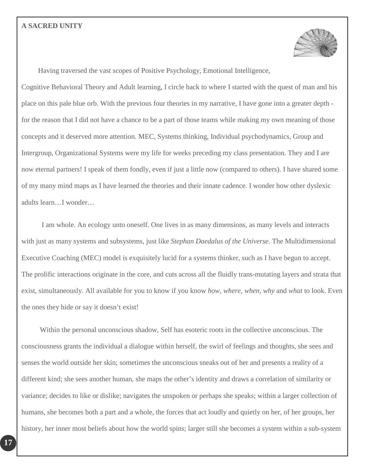#### <span id="page-19-0"></span>**A SACRED UNITY**



Having traversed the vast scopes of Positive Psychology, Emotional Intelligence,

Cognitive Behavioral Theory and Adult learning, I circle back to where I started with the quest of man and his place on this pale blue orb. With the previous four theories in my narrative, I have gone into a greater depth for the reason that I did not have a chance to be a part of those teams while making my own meaning of those concepts and it deserved more attention. MEC, Systems thinking, Individual psychodynamics, Group and Intergroup, Organizational Systems were my life for weeks preceding my class presentation. They and I are now eternal partners! I speak of them fondly, even if just a little now (compared to others). I have shared some of my many mind maps as I have learned the theories and their innate cadence. I wonder how other dyslexic adults learn…I wonder…

 I am whole. An ecology unto oneself. One lives in as many dimensions, as many levels and interacts with just as many systems and subsystems, just like *Stephan Daedalus of the Universe*. The Multidimensional Executive Coaching (MEC) model is exquisitely lucid for a systems thinker, such as I have begun to accept. The prolific interactions originate in the core, and cuts across all the fluidly trans-mutating layers and strata that exist, simultaneously. All available for you to know if you know *how, where, when, why* and *what* to look. Even the ones they hide or say it doesn't exist!

Within the personal unconscious shadow, Self has esoteric roots in the collective unconscious. The consciousness grants the individual a dialogue within herself, the swirl of feelings and thoughts, she sees and senses the world outside her skin; sometimes the unconscious sneaks out of her and presents a reality of a different kind; she sees another human, she maps the other's identity and draws a correlation of similarity or variance; decides to like or dislike; navigates the unspoken or perhaps she speaks; within a larger collection of humans, she becomes both a part and a whole, the forces that act loudly and quietly on her, of her groups, her history, her inner most beliefs about how the world spins; larger still she becomes a system within a sub-system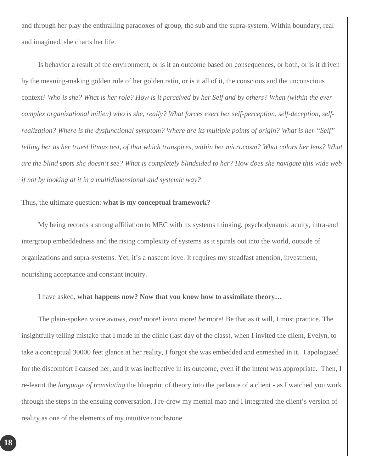and through her play the enthralling paradoxes of group, the sub and the supra-system. Within boundary, real and imagined, she charts her life.

Is behavior a result of the environment, or is it an outcome based on consequences, or both, or is it driven by the meaning-making golden rule of her golden ratio, or is it all of it, the conscious and the unconscious context? *Who is she? What is her role? How is it perceived by her Self and by others? When (within the ever complex organizational milieu) who is she, really? What forces exert her self-perception, self-deception, selfrealization? Where is the dysfunctional symptom? Where are its multiple points of origin? What is her "Self" telling her as her truest litmus test, of that which transpires, within her microcosm? What colors her lens? What are the blind spots she doesn't see? What is completely blindsided to her? How does she navigate this wide web if not by looking at it in a multidimensional and systemic way?*

#### Thus, the ultimate question: **what is my conceptual framework?**

My being records a strong affiliation to MEC with its systems thinking, psychodynamic acuity, intra-and intergroup embeddedness and the rising complexity of systems as it spirals out into the world, outside of organizations and supra-systems. Yet, it's a nascent love. It requires my steadfast attention, investment, nourishing acceptance and constant inquiry.

#### I have asked, **what happens now? Now that you know how to assimilate theory…**

The plain-spoken voice avows, *read* more! *learn* more! *be* more! Be that as it will, I must practice. The insightfully telling mistake that I made in the clinic (last day of the class), when I invited the client, Evelyn, to take a conceptual 30000 feet glance at her reality, I forgot she was embedded and enmeshed in it. I apologized for the discomfort I caused her, and it was ineffective in its outcome, even if the intent was appropriate. Then, I re-learnt the *language of translating* the blueprint of theory into the parlance of a client - as I watched you work through the steps in the ensuing conversation. I re-drew my mental map and I integrated the client's version of reality as one of the elements of my intuitive touchstone.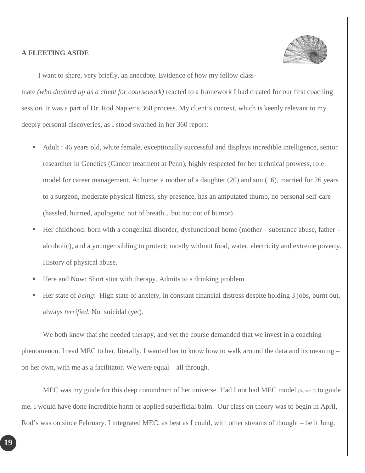#### <span id="page-21-0"></span>**A FLEETING ASIDE**



I want to share, very briefly, an anecdote. Evidence of how my fellow class-

mate *(who doubled up as a client for coursework)* reacted to a framework I had created for our first coaching session. It was a part of Dr. Rod Napier's 360 process. My client's context, which is keenly relevant to my deeply personal discoveries, as I stood swathed in her 360 report:

- Adult : 46 years old, white female, exceptionally successful and displays incredible intelligence, senior researcher in Genetics (Cancer treatment at Penn), highly respected for her technical prowess, role model for career management. At home: a mother of a daughter (20) and son (16), married for 26 years to a surgeon, moderate physical fitness, shy presence, has an amputated thumb, no personal self-care (hassled, hurried, apologetic, out of breath…but not out of humor)
- Her childhood: born with a congenital disorder, dysfunctional home (mother substance abuse, father alcoholic), and a younger sibling to protect; mostly without food, water, electricity and extreme poverty. History of physical abuse.
- Here and Now: Short stint with therapy. Admits to a drinking problem.
- Her state of *being*: High state of anxiety, in constant financial distress despite holding 3 jobs, burnt out, always *terrified*. Not suicidal (yet).

We both knew that she needed therapy, and yet the course demanded that we invest in a coaching phenomenon. I read MEC to her, literally. I wanted her to know how to walk around the data and its meaning – on her own, with me as a facilitator. We were equal – all through.

MEC was my guide for this deep conundrum of her universe. Had I not had MEC model *(figure 7)* to guide me, I would have done incredible harm or applied superficial balm. Our class on theory was to begin in April, Rod's was on since February. I integrated MEC, as best as I could, with other streams of thought – be it Jung,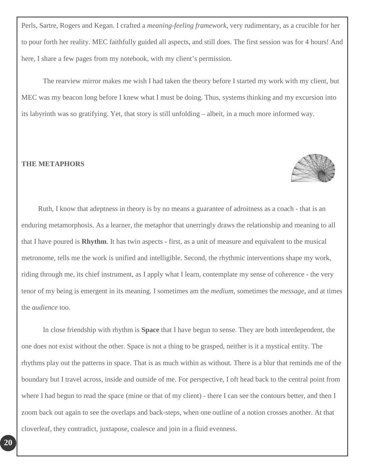Perls, Sartre, Rogers and Kegan. I crafted a *meaning-feeling framework*, very rudimentary, as a crucible for her to pour forth her reality. MEC faithfully guided all aspects, and still does. The first session was for 4 hours! And here, I share a few pages from my notebook, with my client's permission.

The rearview mirror makes me wish I had taken the theory before I started my work with my client, but MEC was my beacon long before I knew what I must be doing. Thus, systems thinking and my excursion into its labyrinth was so gratifying. Yet, that story is still unfolding – albeit, in a much more informed way.

#### <span id="page-22-0"></span>**THE METAPHORS**



In close friendship with rhythm is **Space** that I have begun to sense. They are both interdependent, the one does not exist without the other. Space is not a thing to be grasped, neither is it a mystical entity. The rhythms play out the patterns in space. That is as much within as without. There is a blur that reminds me of the boundary but I travel across, inside and outside of me. For perspective, I oft head back to the central point from where I had begun to read the space (mine or that of my client) - there I can see the contours better, and then I zoom back out again to see the overlaps and back-steps, when one outline of a notion crosses another. At that cloverleaf, they contradict, juxtapose, coalesce and join in a fluid evenness.

**20**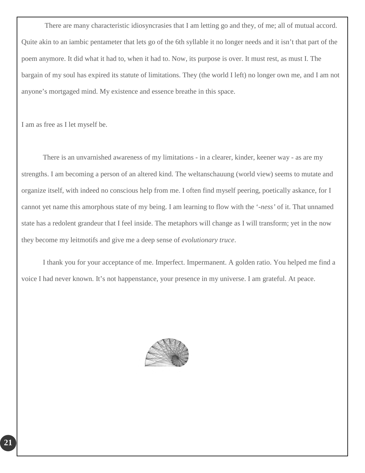There are many characteristic idiosyncrasies that I am letting go and they, of me; all of mutual accord. Quite akin to an iambic pentameter that lets go of the 6th syllable it no longer needs and it isn't that part of the poem anymore. It did what it had to, when it had to. Now, its purpose is over. It must rest, as must I. The bargain of my soul has expired its statute of limitations. They (the world I left) no longer own me, and I am not anyone's mortgaged mind. My existence and essence breathe in this space.

I am as free as I let myself be.

There is an unvarnished awareness of my limitations - in a clearer, kinder, keener way - as are my strengths. I am becoming a person of an altered kind. The weltanschauung (world view) seems to mutate and organize itself, with indeed no conscious help from me. I often find myself peering, poetically askance, for I cannot yet name this amorphous state of my being. I am learning to flow with the '-*ness'* of it. That unnamed state has a redolent grandeur that I feel inside. The metaphors will change as I will transform; yet in the now they become my leitmotifs and give me a deep sense of *evolutionary truce*.

I thank you for your acceptance of me. Imperfect. Impermanent. A golden ratio. You helped me find a voice I had never known. It's not happenstance, your presence in my universe. I am grateful. At peace.

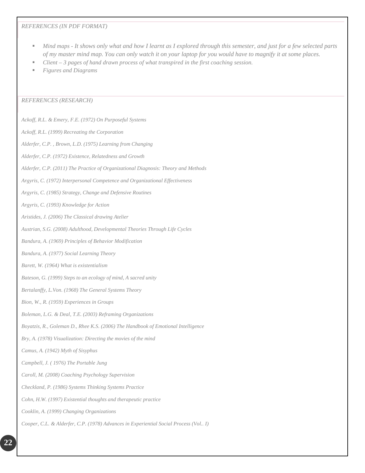#### <span id="page-24-0"></span>*REFERENCES (IN PDF FORMAT)*

- *Mind maps - It shows only what and how I learnt as I explored through this semester, and just for a few selected parts of my master mind map. You can only watch it on your laptop for you would have to magnify it at some places.*
- *Client – 3 pages of hand drawn process of what transpired in the first coaching session.*
- *Figures and Diagrams*

#### <span id="page-24-1"></span>*REFERENCES (RESEARCH)*

*Ackoff, R.L. & Emery, F.E. (1972) On Purposeful Systems Ackoff, R.L. (1999) Recreating the Corporation Alderfer, C.P. , Brown, L.D. (1975) Learning from Changing Alderfer, C.P. (1972) Existence, Relatedness and Growth Alderfer, C.P. (2011) The Practice of Organizational Diagnosis: Theory and Methods Argyris, C. (1972) Interpersonal Competence and Organizational Effectiveness Argyris, C. (1985) Strategy, Change and Defensive Routines Argyris, C. (1993) Knowledge for Action Aristides, J. (2006) The Classical drawing Atelier Austrian, S.G. (2008) Adulthood, Developmental Theories Through Life Cycles Bandura, A. (1969) Principles of Behavior Modification Bandura, A. (1977) Social Learning Theory Barett, W. (1964) What is existentialism Bateson, G. (1999) Steps to an ecology of mind, A sacred unity Bertalanffy, L.Von. (1968) The General Systems Theory Bion, W., R. (1959) Experiences in Groups Boleman, L.G. & Deal, T.E. (2003) Reframing Organizations Boyatzis, R., Goleman D., Rhee K.S. (2006) The Handbook of Emotional Intelligence Bry, A. (1978) Visualization: Directing the movies of the mind Camus, A. (1942) Myth of Sisyphus Campbell, J. ( 1976) The Portable Jung Caroll, M. (2008) Coaching Psychology Supervision Checkland, P. (1986) Systems Thinking Systems Practice Cohn, H.W. (1997) Existential thoughts and therapeutic practice Cooklin, A. (1999) Changing Organizations Cooper, C.L. & Alderfer, C.P. (1978) Advances in Experiential Social Process (Vol.. I)*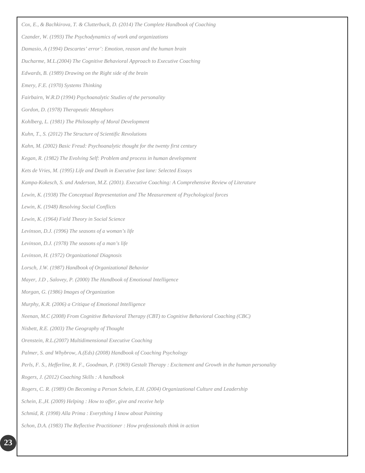| Cox, E., & Bachkirova, T. & Clutterbuck, D. (2014) The Complete Handbook of Coaching                                 |
|----------------------------------------------------------------------------------------------------------------------|
| Czander, W. (1993) The Psychodynamics of work and organizations                                                      |
| Damasio, A (1994) Descartes' error': Emotion, reason and the human brain                                             |
| Ducharme, M.L.(2004) The Cognitive Behavioral Approach to Executive Coaching                                         |
| Edwards, B. (1989) Drawing on the Right side of the brain                                                            |
| Emery, F.E. (1970) Systems Thinking                                                                                  |
| Fairbairn, W.R.D (1994) Psychoanalytic Studies of the personality                                                    |
| Gordon, D. (1978) Therapeutic Metaphors                                                                              |
| Kohlberg, L. (1981) The Philosophy of Moral Development                                                              |
| Kuhn, T., S. (2012) The Structure of Scientific Revolutions                                                          |
| Kahn, M. (2002) Basic Freud: Psychoanalytic thought for the twenty first century                                     |
| Kegan, R. (1982) The Evolving Self: Problem and process in human development                                         |
| Kets de Vries, M. (1995) Life and Death in Executive fast lane: Selected Essays                                      |
| Kampa-Kokesch, S. and Anderson, M.Z. (2001). Executive Coaching: A Comprehensive Review of Literature                |
| Lewin, K. (1938) The Conceptual Representation and The Measurement of Psychological forces                           |
| Lewin, K. (1948) Resolving Social Conflicts                                                                          |
| Lewin, K. (1964) Field Theory in Social Science                                                                      |
| Levinson, D.J. (1996) The seasons of a woman's life                                                                  |
| Levinson, D.J. (1978) The seasons of a man's life                                                                    |
| Levinson, H. (1972) Organizational Diagnosis                                                                         |
| Lorsch, J.W. (1987) Handbook of Organizational Behavior                                                              |
| Mayer, J.D, Salovey, P. (2000) The Handbook of Emotional Intelligence                                                |
| Morgan, G. (1986) Images of Organization                                                                             |
| Murphy, K.R. (2006) a Critique of Emotional Intelligence                                                             |
| Neenan, M.C (2008) From Cognitive Behavioral Therapy (CBT) to Cognitive Behavioral Coaching (CBC)                    |
| Nisbett, R.E. (2003) The Geography of Thought                                                                        |
| Orenstein, R.L.(2007) Multidimensional Executive Coaching                                                            |
| Palmer, S. and Whybrow, A.(Eds) (2008) Handbook of Coaching Psychology                                               |
| Perls, F. S., Hefferline, R. F., Goodman, P. (1969) Gestalt Therapy : Excitement and Growth in the human personality |
| Rogers, J. (2012) Coaching Skills : A handbook                                                                       |
| Rogers, C. R. (1989) On Becoming a Person Schein, E.H. (2004) Organizational Culture and Leadership                  |
| Schein, E., H. (2009) Helping : How to offer, give and receive help                                                  |
| Schmid, R. (1998) Alla Prima: Everything I know about Painting                                                       |
| Schon, D.A. (1983) The Reflective Practitioner : How professionals think in action                                   |

**23**